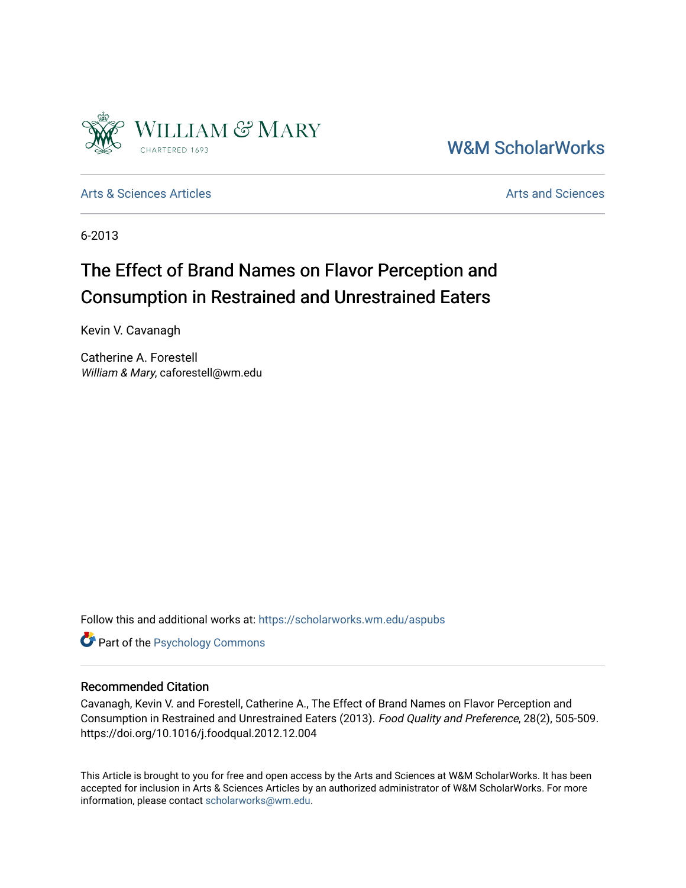

[W&M ScholarWorks](https://scholarworks.wm.edu/) 

[Arts & Sciences Articles](https://scholarworks.wm.edu/aspubs) **Articles** [Arts and Sciences](https://scholarworks.wm.edu/as) Articles Arts and Sciences Arts and Sciences Articles **Arts** and Sciences Arts and Sciences **Arts** and Sciences **Arts** and Sciences **Arts** and Sciences **Arts** and Scien

6-2013

# The Effect of Brand Names on Flavor Perception and Consumption in Restrained and Unrestrained Eaters

Kevin V. Cavanagh

Catherine A. Forestell William & Mary, caforestell@wm.edu

Follow this and additional works at: [https://scholarworks.wm.edu/aspubs](https://scholarworks.wm.edu/aspubs?utm_source=scholarworks.wm.edu%2Faspubs%2F2052&utm_medium=PDF&utm_campaign=PDFCoverPages) 

**Part of the Psychology Commons** 

### Recommended Citation

Cavanagh, Kevin V. and Forestell, Catherine A., The Effect of Brand Names on Flavor Perception and Consumption in Restrained and Unrestrained Eaters (2013). Food Quality and Preference, 28(2), 505-509. https://doi.org/10.1016/j.foodqual.2012.12.004

This Article is brought to you for free and open access by the Arts and Sciences at W&M ScholarWorks. It has been accepted for inclusion in Arts & Sciences Articles by an authorized administrator of W&M ScholarWorks. For more information, please contact [scholarworks@wm.edu](mailto:scholarworks@wm.edu).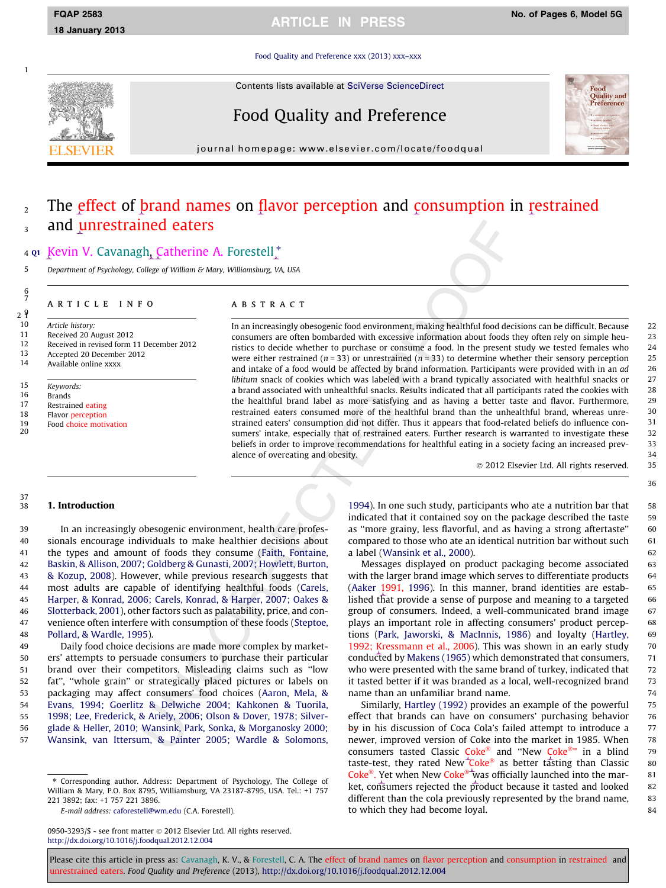Food **Quality** and Preference

Food Quality and Preference xxx (2013) xxx–xxx

Contents lists available at SciVerse ScienceDirect



Food Quality and Preference

journal homepage: www.elsevier.com/locate/foodqual

Please cite this article in press as: Cavanagh, K. V., & Forestell, C. A. The effect of brand names on flavor perception and consumption in restrained and

## The effect of brand names on flavor perception and consumption in restrained and unrestrained eaters

#### Kevin V. Cavanagh, Catherine A. Forestell<sup>\*</sup> 4 01

5 Department of Psychology, College of William & Mary, Williamsburg, VA, USA

#### article info

9 2 1

6 7

1

10 Article history:<br>11 Received 20 A

11 Received 20 August 2012<br>12 Received in revised form 12 Received in revised form 11 December 2012

13 Accepted 20 December 2012<br>14 Available opline xxxx

- 14 Available online xxxx
- 
- 15 Keywords:<br>16 Brands
- 
- 16 Brands<br>17 Restrai 17 Restrained eating<br>18 Flavor perception
- Flavor perception
- 19 Food choice motivation 20

#### **ABSTRACT**

In an increasingly obesogenic food environment, making healthful food decisions can be difficult. Because 22 consumers are often bombarded with excessive information about foods they often rely on simple heu- 23 ristics to decide whether to purchase or consume a food. In the present study we tested females who 24 were either restrained ( $n = 33$ ) or unrestrained ( $n = 33$ ) to determine whether their sensory perception 25 and intake of a food would be affected by brand information. Participants were provided with in an ad 26 libitum snack of cookies which was labeled with a brand typically associated with healthful snacks or 27 a brand associated with unhealthful snacks. Results indicated that all participants rated the cookies with 28 the healthful brand label as more satisfying and as having a better taste and flavor. Furthermore, 29 restrained eaters consumed more of the healthful brand than the unhealthful brand, whereas unre- 30 strained eaters' consumption did not differ. Thus it appears that food-related beliefs do influence con- 31 sumers' intake, especially that of restrained eaters. Further research is warranted to investigate these 32 beliefs in order to improve recommendations for healthful eating in a society facing an increased prev- 33 alence of overeating and obesity. 34

© 2012 Elsevier Ltd. All rights reserved. 35

36

#### 37<br>38 1. Introduction

 In an increasingly obesogenic environment, health care profes- sionals encourage individuals to make healthier decisions about the types and amount of foods they consume (Faith, Fontaine, Baskin, & Allison, 2007; Goldberg & Gunasti, 2007; Howlett, Burton, & Kozup, 2008). However, while previous research suggests that most adults are capable of identifying healthful foods (Carels, Harper, & Konrad, 2006; Carels, Konrad, & Harper, 2007; Oakes & Slotterback, 2001), other factors such as palatability, price, and con- venience often interfere with consumption of these foods (Steptoe, Pollard, & Wardle, 1995).

 Daily food choice decisions are made more complex by market- ers' attempts to persuade consumers to purchase their particular brand over their competitors. Misleading claims such as ''low fat'', ''whole grain'' or strategically placed pictures or labels on packaging may affect consumers' food choices (Aaron, Mela, & Evans, 1994; Goerlitz & Delwiche 2004; Kahkonen & Tuorila, 1998; Lee, Frederick, & Ariely, 2006; Olson & Dover, 1978; Silver- glade & Heller, 2010; Wansink, Park, Sonka, & Morganosky 2000; Wansink, van Ittersum, & Painter 2005; Wardle & Solomons,

unrestrained eaters. Food Quality and Preference (2013), http://dx.doi.org/10.1016/j.foodqual.2012.12.004

0950-3293/\$ - see front matter © 2012 Elsevier Ltd. All rights reserved. http://dx.doi.org/10.1016/j.foodqual.2012.12.004

1994). In one such study, participants who ate a nutrition bar that 58 indicated that it contained soy on the package described the taste 59 as ''more grainy, less flavorful, and as having a strong aftertaste'' 60 compared to those who ate an identical nutrition bar without such 61 a label (Wansink et al., 2000). 62

Messages displayed on product packaging become associated 63 with the larger brand image which serves to differentiate products 64 (Aaker 1991, 1996). In this manner, brand identities are estab- 65 lished that provide a sense of purpose and meaning to a targeted 66 group of consumers. Indeed, a well-communicated brand image 67 plays an important role in affecting consumers' product percep- 68 tions (Park, Jaworski, & MacInnis, 1986) and loyalty (Hartley, 69 1992; Kressmann et al., 2006). This was shown in an early study 70 conducted by Makens (1965) which demonstrated that consumers, 71 who were presented with the same brand of turkey, indicated that  $72$ it tasted better if it was branded as a local, well-recognized brand 73 name than an unfamiliar brand name.

Similarly, Hartley (1992) provides an example of the powerful 75 effect that brands can have on consumers' purchasing behavior 76  $\frac{1}{2}$  by in his discussion of Coca Cola's failed attempt to introduce a 77 newer, improved version of Coke into the market in 1985. When 78 consumers tasted Classic Coke<sup>®</sup> and "New Coke<sup>®</sup>" in a blind 79 taste-test, they rated New  $\overline{Coke}^*$  as better tasting than Classic 80 Coke<sup>®</sup>. Yet when New Coke<sup>®</sup> was officially launched into the mar-<br>81 ket, consumers rejected the product because it tasted and looked 82 different than the cola previously represented by the brand name, 83 to which they had become loyal. 84

<sup>⇑</sup> Corresponding author. Address: Department of Psychology, The College of William & Mary, P.O. Box 8795, Williamsburg, VA 23187-8795, USA. Tel.: +1 757 221 3892; fax: +1 757 221 3896.

E-mail address: caforestell@wm.edu (C.A. Forestell).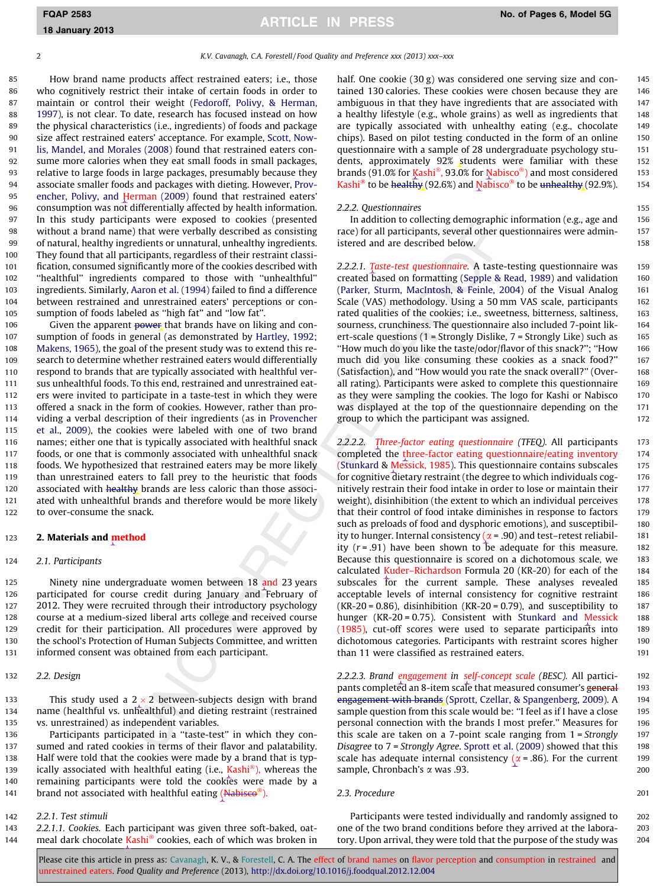18 January 2013

2 K.V. Cavanagh, C.A. Forestell / Food Quality and Preference xxx (2013) xxx–xxx

 How brand name products affect restrained eaters; i.e., those who cognitively restrict their intake of certain foods in order to maintain or control their weight (Fedoroff, Polivy, & Herman, 1997), is not clear. To date, research has focused instead on how the physical characteristics (i.e., ingredients) of foods and package size affect restrained eaters' acceptance. For example, Scott, Now- lis, Mandel, and Morales (2008) found that restrained eaters con- sume more calories when they eat small foods in small packages, relative to large foods in large packages, presumably because they associate smaller foods and packages with dieting. However, Prov- encher, Polivy, and Herman (2009) found that restrained eaters' consumption was not differentially affected by health information. In this study participants were exposed to cookies (presented without a brand name) that were verbally described as consisting of natural, healthy ingredients or unnatural, unhealthy ingredients. They found that all participants, regardless of their restraint classi- fication, consumed significantly more of the cookies described with ''healthful'' ingredients compared to those with ''unhealthful'' ingredients. Similarly, Aaron et al. (1994) failed to find a difference between restrained and unrestrained eaters' perceptions or con-sumption of foods labeled as ''high fat'' and ''low fat''.

106 Given the apparent power that brands have on liking and con- sumption of foods in general (as demonstrated by Hartley, 1992; Makens, 1965), the goal of the present study was to extend this re- search to determine whether restrained eaters would differentially respond to brands that are typically associated with healthful ver- sus unhealthful foods. To this end, restrained and unrestrained eat- ers were invited to participate in a taste-test in which they were offered a snack in the form of cookies. However, rather than pro- viding a verbal description of their ingredients (as in Provencher et al., 2009), the cookies were labeled with one of two brand names; either one that is typically associated with healthful snack foods, or one that is commonly associated with unhealthful snack foods. We hypothesized that restrained eaters may be more likely than unrestrained eaters to fall prey to the heuristic that foods 120 associated with healthy brands are less caloric than those associ- ated with unhealthful brands and therefore would be more likely to over-consume the snack.

#### 123 2. Materials and method

#### 124 2.1. Participants

125 Ninety nine undergraduate women between 18 and 23 years participated for course credit during January and February of 127 2012. They were recruited through their introductory psychology course at a medium-sized liberal arts college and received course credit for their participation. All procedures were approved by the school's Protection of Human Subjects Committee, and written informed consent was obtained from each participant.

#### 132 2.2. Design

133 This study used a  $2 \times 2$  between-subjects design with brand 134 name (healthful vs. unhealthful) and dieting restraint (restrained 135 vs. unrestrained) as independent variables.

 Participants participated in a ''taste-test'' in which they con- sumed and rated cookies in terms of their flavor and palatability. Half were told that the cookies were made by a brand that is typ-139 ically associated with healthful eating (i.e., Kashi<sup>®</sup>), whereas the remaining participants were told the cookies were made by a 141 brand not associated with healthful eating (Nabisco<sup>®</sup>).

142 2.2.1. Test stimuli

143 2.2.1.1. Cookies. Each participant was given three soft-baked, oat-144 meal dark chocolate Kashi<sup>®</sup> cookies, each of which was broken in half. One cookie (30 g) was considered one serving size and con- $145$ tained 130 calories. These cookies were chosen because they are 146 ambiguous in that they have ingredients that are associated with 147 a healthy lifestyle (e.g., whole grains) as well as ingredients that 148 are typically associated with unhealthy eating (e.g., chocolate 149 chips). Based on pilot testing conducted in the form of an online 150 questionnaire with a sample of 28 undergraduate psychology stu- 151 dents, approximately 92% students were familiar with these 152 brands (91.0% for Kashi<sup>®</sup>, 93.0% for Nabisco<sup>®</sup>) and most considered 153 Kashi<sup>®</sup> to be healthy (92.6%) and Nabisco<sup>®</sup> to be unhealthy (92.9%).  $154$ 

#### 2.2.2. Questionnaires 155

In addition to collecting demographic information (e.g., age and 156 race) for all participants, several other questionnaires were admin- 157 istered and are described below. 158

2.2.2.1. Taste-test questionnaire. A taste-testing questionnaire was 159 created based on formatting (Sepple & Read, 1989) and validation 160 (Parker, Sturm, MacIntosh, & Feinle, 2004) of the Visual Analog 161 Scale (VAS) methodology. Using a 50 mm VAS scale, participants 162 rated qualities of the cookies; i.e., sweetness, bitterness, saltiness, 163 sourness, crunchiness. The questionnaire also included 7-point lik-<br>164 ert-scale questions  $(1 -$ Strongly Dislike,  $7 -$ Strongly Like) such as 165 ''How much do you like the taste/odor/flavor of this snack?''; ''How 166 much did you like consuming these cookies as a snack food?" 167 (Satisfaction), and ''How would you rate the snack overall?'' (Over- 168 all rating). Participants were asked to complete this questionnaire 169 as they were sampling the cookies. The logo for Kashi or Nabisco 170 was displayed at the top of the questionnaire depending on the 171 group to which the participant was assigned. The same to which the participant was assigned.

2.2.2.2. Three-factor eating questionnaire (TFEQ). All participants 173 completed the three-factor eating questionnaire/eating inventory 174 (Stunkard & Messick, 1985). This questionnaire contains subscales 175 for cognitive dietary restraint (the degree to which individuals cog- 176 nitively restrain their food intake in order to lose or maintain their 177 weight), disinhibition (the extent to which an individual perceives 178 that their control of food intake diminishes in response to factors 179 such as preloads of food and dysphoric emotions), and susceptibil-<br>180 ity to hunger. Internal consistency ( $\alpha$  = .90) and test-retest reliabil- 181 ity  $(r = .91)$  have been shown to be adequate for this measure. 182 Because this questionnaire is scored on a dichotomous scale, we 183 calculated Kuder–Richardson Formula 20 (KR-20) for each of the 184 subscales for the current sample. These analyses revealed 185 acceptable levels of internal consistency for cognitive restraint 186  $(KR-20 = 0.86)$ , disinhibition  $(KR-20 = 0.79)$ , and susceptibility to 187 hunger (KR-20 = 0.75). Consistent with Stunkard and Messick 188 (1985), cut-off scores were used to separate participants into 189 dichotomous categories. Participants with restraint scores higher 190 than 11 were classified as restrained eaters. The many states of the 191

2.2.2.3. Brand engagement in self-concept scale (BESC). All partici-<br>192 pants completed an 8-item scale that measured consumer's general 193 engagement with brands (Sprott, Czellar, & Spangenberg, 2009). A 194 sample question from this scale would be: "I feel as if I have a close 195 personal connection with the brands I most prefer.'' Measures for 196 this scale are taken on a 7-point scale ranging from  $1 =$  Strongly 197 Disagree to 7 = Strongly Agree. Sprott et al. (2009) showed that this 198 scale has adequate internal consistency ( $\alpha$  = .86). For the current 199 sample, Chronbach's  $\alpha$  was .93.  $\overline{a}$  and  $\alpha$  and  $\alpha$  and  $\alpha$  and  $\alpha$  and  $\alpha$  and  $\alpha$  and  $\alpha$  and  $\alpha$  and  $\alpha$  and  $\alpha$  and  $\alpha$  and  $\alpha$  and  $\alpha$  and  $\alpha$  and  $\alpha$  and  $\alpha$  and  $\alpha$  and  $\alpha$  and  $\alpha$  and  $\alpha$ 

2.3. Procedure 201

Participants were tested individually and randomly assigned to 202 one of the two brand conditions before they arrived at the labora- 203 tory. Upon arrival, they were told that the purpose of the study was 204

Please cite this article in press as: Cavanagh, K. V., & Forestell, C. A. The effect of brand names on flavor perception and consumption in restrained and unrestrained eaters. Food Quality and Preference (2013), http://dx.doi.org/10.1016/j.foodqual.2012.12.004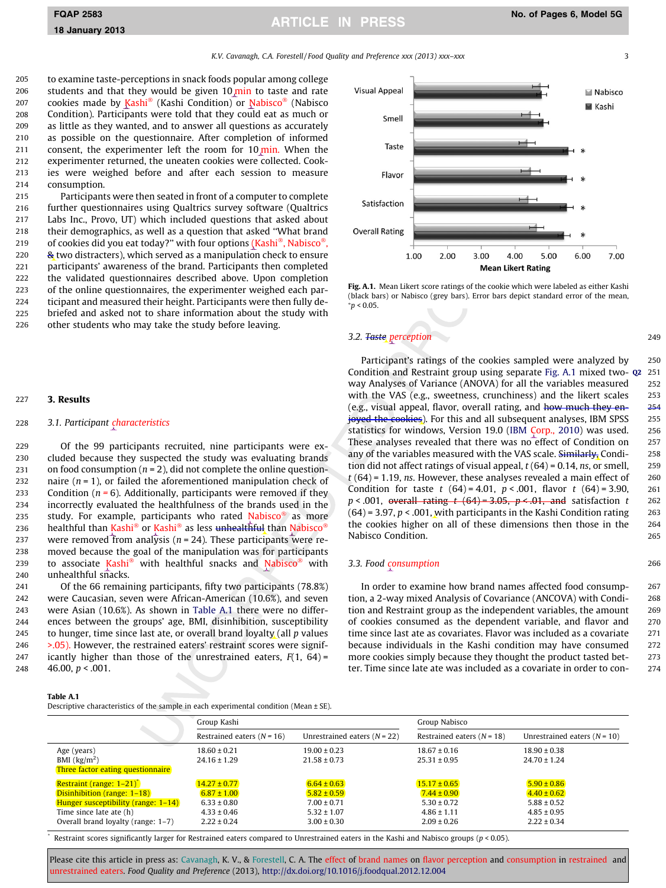### FQAP 2583 No. of Pages 6, Model 5G

K.V. Cavanagh, C.A. Forestell / Food Quality and Preference xxx (2013) xxx–xxx 33

 to examine taste-perceptions in snack foods popular among college students and that they would be given 10 min to taste and rate 207 cookies made by Kashi<sup>®</sup> (Kashi Condition) or Nabisco<sup>®</sup> (Nabisco Condition). Participants were told that they could eat as much or as little as they wanted, and to answer all questions as accurately as possible on the questionnaire. After completion of informed 211 consent, the experimenter left the room for 10 min. When the experimenter returned, the uneaten cookies were collected. Cook- ies were weighed before and after each session to measure consumption.

 Participants were then seated in front of a computer to complete further questionnaires using Qualtrics survey software (Qualtrics Labs Inc., Provo, UT) which included questions that asked about their demographics, as well as a question that asked ''What brand 219 of cookies did you eat today?" with four options (Kashi®, Nabisco®,  $\&$  two distracters), which served as a manipulation check to ensure participants' awareness of the brand. Participants then completed the validated questionnaires described above. Upon completion of the online questionnaires, the experimenter weighed each par- ticipant and measured their height. Participants were then fully de- briefed and asked not to share information about the study with other students who may take the study before leaving.

#### 227 3. Results

#### 228 3.1. Participant characteristics

229 Of the 99 participants recruited, nine participants were ex-230 cluded because they suspected the study was evaluating brands 231 on food consumption ( $n = 2$ ), did not complete the online question-232 naire  $(n = 1)$ , or failed the aforementioned manipulation check of 233 Condition ( $n = 6$ ). Additionally, participants were removed if they 234 incorrectly evaluated the healthfulness of the brands used in the 235 study. For example, participants who rated Nabisco<sup>®</sup> as more 236 healthful than Kashi<sup>®</sup> or Kashi® as less unhealthful than Nabisco<sup>®</sup> 237 were removed from analysis ( $n = 24$ ). These participants were re-238 moved because the goal of the manipulation was for participants 239 to associate Kashi<sup>®</sup> with healthful snacks and Nabisco<sup>®</sup> with 240 unhealthful snacks.

 Of the 66 remaining participants, fifty two participants (78.8%) were Caucasian, seven were African-American (10.6%), and seven were Asian (10.6%). As shown in Table A.1 there were no differ- ences between the groups' age, BMI, disinhibition, susceptibility 245 to hunger, time since last ate, or overall brand loyalty (all  $p$  values  $> 0.05$ ). However, the restrained eaters' restraint scores were signif-247 icantly higher than those of the unrestrained eaters,  $F(1, 64) =$  $46.00, p < .001$ .



Fig. A.1. Mean Likert score ratings of the cookie which were labeled as either Kashi (black bars) or Nabisco (grey bars). Error bars depict standard error of the mean,  $*$ *p* < 0.05.

#### 3.2. Taste perception 249

Participant's ratings of the cookies sampled were analyzed by 250 Condition and Restraint group using separate Fig. A.1 mixed two-  $Q2$  251 way Analyses of Variance (ANOVA) for all the variables measured 252 with the VAS (e.g., sweetness, crunchiness) and the likert scales 253 (e.g., visual appeal, flavor, overall rating, and how much they en- 254 joyed the cookies). For this and all subsequent analyses, IBM SPSS 255 statistics for windows, Version 19.0 (IBM Corp., 2010) was used. 256 These analyses revealed that there was no effect of Condition on 257 any of the variables measured with the VAS scale. Similarly, Condi- 258 tion did not affect ratings of visual appeal,  $t(64) = 0.14$ , ns, or smell, 259  $t$  (64) = 1.19, ns. However, these analyses revealed a main effect of 260 Condition for taste t  $(64) = 4.01$ ,  $p < .001$ , flavor t  $(64) = 3.90$ , 261  $p < .001$ , overall rating  $t$  (64) = 3.05,  $p < .01$ , and satisfaction  $t$  262  $(64) = 3.97$ ,  $p < .001$ , with participants in the Kashi Condition rating 263 the cookies higher on all of these dimensions then those in the 264 Nabisco Condition. 265

#### 3.3. Food consumption 266

In order to examine how brand names affected food consump- 267 tion, a 2-way mixed Analysis of Covariance (ANCOVA) with Condi- 268 tion and Restraint group as the independent variables, the amount 269 of cookies consumed as the dependent variable, and flavor and 270 time since last ate as covariates. Flavor was included as a covariate 271 because individuals in the Kashi condition may have consumed 272 more cookies simply because they thought the product tasted bet-<br>273 ter. Time since late ate was included as a covariate in order to con- 274

#### Table A.1

Descriptive characteristics of the sample in each experimental condition (Mean ± SE).

|                                         | Group Kashi                  |                                | Group Nabisco                |                                |
|-----------------------------------------|------------------------------|--------------------------------|------------------------------|--------------------------------|
|                                         | Restrained eaters $(N = 16)$ | Unrestrained eaters $(N = 22)$ | Restrained eaters $(N = 18)$ | Unrestrained eaters $(N = 10)$ |
| Age (years)                             | $18.60 \pm 0.21$             | $19.00 \pm 0.23$               | $18.67 \pm 0.16$             | $18.90 \pm 0.38$               |
| BMI $\left(\frac{kg}{m^2}\right)$       | $24.16 \pm 1.29$             | $21.58 \pm 0.73$               | $25.31 \pm 0.95$             | $24.70 \pm 1.24$               |
| Three factor eating questionnaire       |                              |                                |                              |                                |
| Restraint (range: $1-21$ ) <sup>*</sup> | $14.27 \pm 0.77$             | $6.64 \pm 0.63$                | $15.17 \pm 0.65$             | $5.90 \pm 0.86$                |
| Disinhibition (range: $1-18$ )          | $6.87 \pm 1.00$              | $5.82 \pm 0.59$                | $7.44 \pm 0.90$              | $4.40 \pm 0.62$                |
| Hunger susceptibility (range: 1-14)     | $6.33 \pm 0.80$              | $7.00 \pm 0.71$                | $5.30 \pm 0.72$              | $5.88 \pm 0.52$                |
| Time since late ate (h)                 | $4.33 \pm 0.46$              | $5.32 \pm 1.07$                | $4.86 \pm 1.11$              | $4.85 \pm 0.95$                |
| Overall brand loyalty (range: 1–7)      | $2.22 \pm 0.24$              | $3.00 \pm 0.30$                | $2.09 \pm 0.26$              | $2.22 \pm 0.34$                |

Restraint scores significantly larger for Restrained eaters compared to Unrestrained eaters in the Kashi and Nabisco groups ( $p < 0.05$ ).

Please cite this article in press as: Cavanagh, K. V., & Forestell, C. A. The effect of brand names on flavor perception and consumption in restrained and unrestrained eaters. Food Quality and Preference (2013), http://dx.doi.org/10.1016/j.foodqual.2012.12.004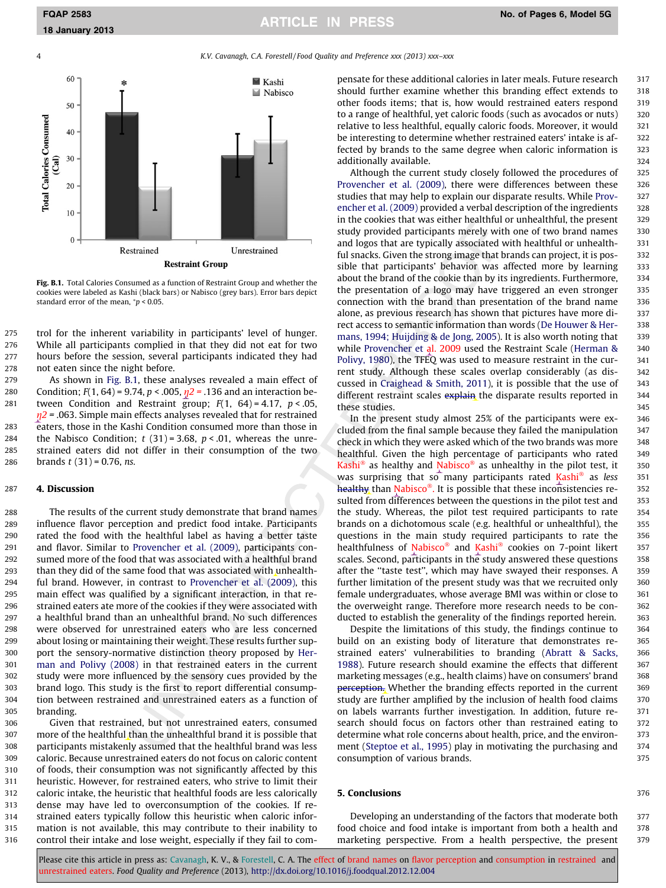## FQAP 2583 No. of Pages 6, Model 5G

4 K.V. Cavanagh, C.A. Forestell / Food Quality and Preference xxx (2013) xxx–xxx



Fig. B.1. Total Calories Consumed as a function of Restraint Group and whether the cookies were labeled as Kashi (black bars) or Nabisco (grey bars). Error bars depict standard error of the mean,  $p < 0.05$ .

 trol for the inherent variability in participants' level of hunger. While all participants complied in that they did not eat for two hours before the session, several participants indicated they had not eaten since the night before.

279 As shown in Fig. B.1, these analyses revealed a main effect of 280 Condition;  $F(1, 64) = 9.74$ ,  $p < .005$ ,  $p2 = .136$  and an interaction be-281 tween Condition and Restraint group;  $F(1, 64) = 4.17$ ,  $p < .05$ ,  $\eta$ 2 = .063. Simple main effects analyses revealed that for restrained 283 eaters, those in the Kashi Condition consumed more than those in 284 the Nabisco Condition;  $t$  (31) = 3.68,  $p < .01$ , whereas the unre-285 strained eaters did not differ in their consumption of the two 286 brands  $t(31) = 0.76$ , ns.

#### 287 4. Discussion

 The results of the current study demonstrate that brand names influence flavor perception and predict food intake. Participants rated the food with the healthful label as having a better taste and flavor. Similar to Provencher et al. (2009), participants con- sumed more of the food that was associated with a healthful brand than they did of the same food that was associated with unhealth- ful brand. However, in contrast to Provencher et al. (2009), this main effect was qualified by a significant interaction, in that re- strained eaters ate more of the cookies if they were associated with a healthful brand than an unhealthful brand. No such differences were observed for unrestrained eaters who are less concerned about losing or maintaining their weight. These results further sup- port the sensory-normative distinction theory proposed by Her- man and Polivy (2008) in that restrained eaters in the current study were more influenced by the sensory cues provided by the brand logo. This study is the first to report differential consump- tion between restrained and unrestrained eaters as a function of branding.

 Given that restrained, but not unrestrained eaters, consumed more of the healthful than the unhealthful brand it is possible that participants mistakenly assumed that the healthful brand was less caloric. Because unrestrained eaters do not focus on caloric content of foods, their consumption was not significantly affected by this heuristic. However, for restrained eaters, who strive to limit their caloric intake, the heuristic that healthful foods are less calorically dense may have led to overconsumption of the cookies. If re- strained eaters typically follow this heuristic when caloric infor- mation is not available, this may contribute to their inability to control their intake and lose weight, especially if they fail to compensate for these additional calories in later meals. Future research 317 should further examine whether this branding effect extends to 318 other foods items; that is, how would restrained eaters respond 319 to a range of healthful, yet caloric foods (such as avocados or nuts) 320 relative to less healthful, equally caloric foods. Moreover, it would 321 be interesting to determine whether restrained eaters' intake is af-<br>322 fected by brands to the same degree when caloric information is 323 additionally available. **324** 

Although the current study closely followed the procedures of 325 Provencher et al. (2009), there were differences between these 326 studies that may help to explain our disparate results. While Prov- 327 encher et al. (2009) provided a verbal description of the ingredients 328 in the cookies that was either healthful or unhealthful, the present 329 study provided participants merely with one of two brand names 330 and logos that are typically associated with healthful or unhealth- 331 ful snacks. Given the strong image that brands can project, it is pos-<br>332 sible that participants' behavior was affected more by learning 333 about the brand of the cookie than by its ingredients. Furthermore, 334 the presentation of a logo may have triggered an even stronger 335 connection with the brand than presentation of the brand name 336 alone, as previous research has shown that pictures have more di- 337 rect access to semantic information than words (De Houwer & Her- 338 mans, 1994; Huijding & de Jong, 2005). It is also worth noting that 339 while Provencher et al. 2009 used the Restraint Scale (Herman & 340 Polivy, 1980), the TFEQ was used to measure restraint in the cur-<br>341 rent study. Although these scales overlap considerably (as dis- 342 cussed in Craighead & Smith, 2011), it is possible that the use of 343 different restraint scales explain the disparate results reported in 344 these studies. 345

In the present study almost 25% of the participants were ex- 346 cluded from the final sample because they failed the manipulation 347 check in which they were asked which of the two brands was more 348 healthful. Given the high percentage of participants who rated 349  $Kashi<sup>®</sup>$  as healthy and Nabisco<sup>®</sup> as unhealthy in the pilot test, it 350 was surprising that so many participants rated Kashi<sup>®</sup> as less  $351$ healthy than Nabisco<sup>®</sup>. It is possible that these inconsistencies re-<br>352 sulted from differences between the questions in the pilot test and 353 the study. Whereas, the pilot test required participants to rate 354 brands on a dichotomous scale (e.g. healthful or unhealthful), the 355 questions in the main study required participants to rate the 356 healthfulness of Nabisco<sup>®</sup> and Kashi<sup>®</sup> cookies on 7-point likert  $357$ scales. Second, participants in the study answered these questions 358 after the "taste test", which may have swayed their responses.  $A = 359$ further limitation of the present study was that we recruited only 360 female undergraduates, whose average BMI was within or close to 361 the overweight range. Therefore more research needs to be con- 362 ducted to establish the generality of the findings reported herein. 363

Despite the limitations of this study, the findings continue to 364 build on an existing body of literature that demonstrates re- 365 strained eaters' vulnerabilities to branding (Abratt & Sacks, 366 1988). Future research should examine the effects that different 367 marketing messages (e.g., health claims) have on consumers' brand 368 **perception.** Whether the branding effects reported in the current 369 study are further amplified by the inclusion of health food claims 370 on labels warrants further investigation. In addition, future re- 371 search should focus on factors other than restrained eating to 372 determine what role concerns about health, price, and the environ-<br>373 ment (Steptoe et al., 1995) play in motivating the purchasing and 374 consumption of various brands.  $375$ 

#### **5. Conclusions** 376

Developing an understanding of the factors that moderate both 377 food choice and food intake is important from both a health and 378 marketing perspective. From a health perspective, the present 379

Please cite this article in press as: Cavanagh, K. V., & Forestell, C. A. The effect of brand names on flavor perception and consumption in restrained and unrestrained eaters. Food Quality and Preference (2013), http://dx.doi.org/10.1016/j.foodqual.2012.12.004